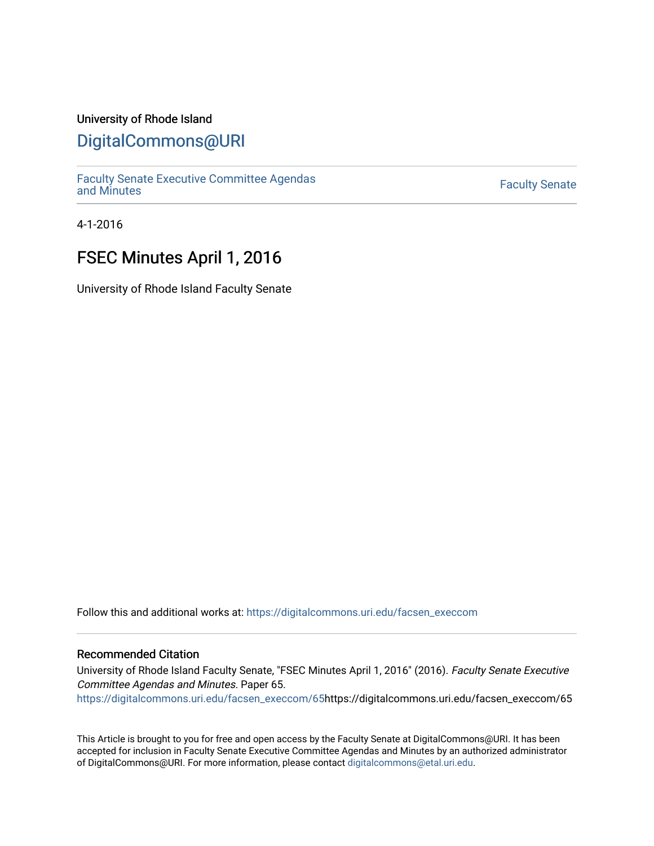## University of Rhode Island

## [DigitalCommons@URI](https://digitalcommons.uri.edu/)

[Faculty Senate Executive Committee Agendas](https://digitalcommons.uri.edu/facsen_execcom)  [and Minutes](https://digitalcommons.uri.edu/facsen_execcom) [Faculty Senate](https://digitalcommons.uri.edu/facsen) 

4-1-2016

# FSEC Minutes April 1, 2016

University of Rhode Island Faculty Senate

Follow this and additional works at: [https://digitalcommons.uri.edu/facsen\\_execcom](https://digitalcommons.uri.edu/facsen_execcom?utm_source=digitalcommons.uri.edu%2Ffacsen_execcom%2F65&utm_medium=PDF&utm_campaign=PDFCoverPages) 

#### Recommended Citation

University of Rhode Island Faculty Senate, "FSEC Minutes April 1, 2016" (2016). Faculty Senate Executive Committee Agendas and Minutes. Paper 65.

[https://digitalcommons.uri.edu/facsen\\_execcom/65h](https://digitalcommons.uri.edu/facsen_execcom/65?utm_source=digitalcommons.uri.edu%2Ffacsen_execcom%2F65&utm_medium=PDF&utm_campaign=PDFCoverPages)ttps://digitalcommons.uri.edu/facsen\_execcom/65

This Article is brought to you for free and open access by the Faculty Senate at DigitalCommons@URI. It has been accepted for inclusion in Faculty Senate Executive Committee Agendas and Minutes by an authorized administrator of DigitalCommons@URI. For more information, please contact [digitalcommons@etal.uri.edu](mailto:digitalcommons@etal.uri.edu).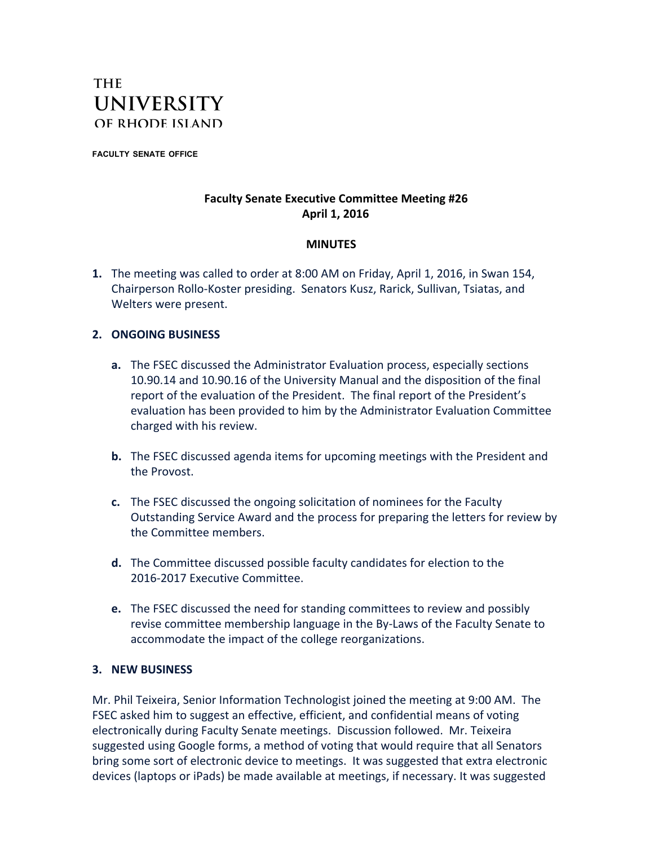

**FACULTY SENATE OFFICE**

#### **Faculty Senate Executive Committee Meeting #26 April 1, 2016**

### **MINUTES**

**1.** The meeting was called to order at 8:00 AM on Friday, April 1, 2016, in Swan 154, Chairperson Rollo-Koster presiding. Senators Kusz, Rarick, Sullivan, Tsiatas, and Welters were present.

#### **2. ONGOING BUSINESS**

- **a.** The FSEC discussed the Administrator Evaluation process, especially sections 10.90.14 and 10.90.16 of the University Manual and the disposition of the final report of the evaluation of the President. The final report of the President's evaluation has been provided to him by the Administrator Evaluation Committee charged with his review.
- **b.** The FSEC discussed agenda items for upcoming meetings with the President and the Provost.
- **c.** The FSEC discussed the ongoing solicitation of nominees for the Faculty Outstanding Service Award and the process for preparing the letters for review by the Committee members.
- **d.** The Committee discussed possible faculty candidates for election to the 2016-2017 Executive Committee.
- **e.** The FSEC discussed the need for standing committees to review and possibly revise committee membership language in the By-Laws of the Faculty Senate to accommodate the impact of the college reorganizations.

#### **3. NEW BUSINESS**

Mr. Phil Teixeira, Senior Information Technologist joined the meeting at 9:00 AM. The FSEC asked him to suggest an effective, efficient, and confidential means of voting electronically during Faculty Senate meetings. Discussion followed. Mr. Teixeira suggested using Google forms, a method of voting that would require that all Senators bring some sort of electronic device to meetings. It was suggested that extra electronic devices (laptops or iPads) be made available at meetings, if necessary. It was suggested